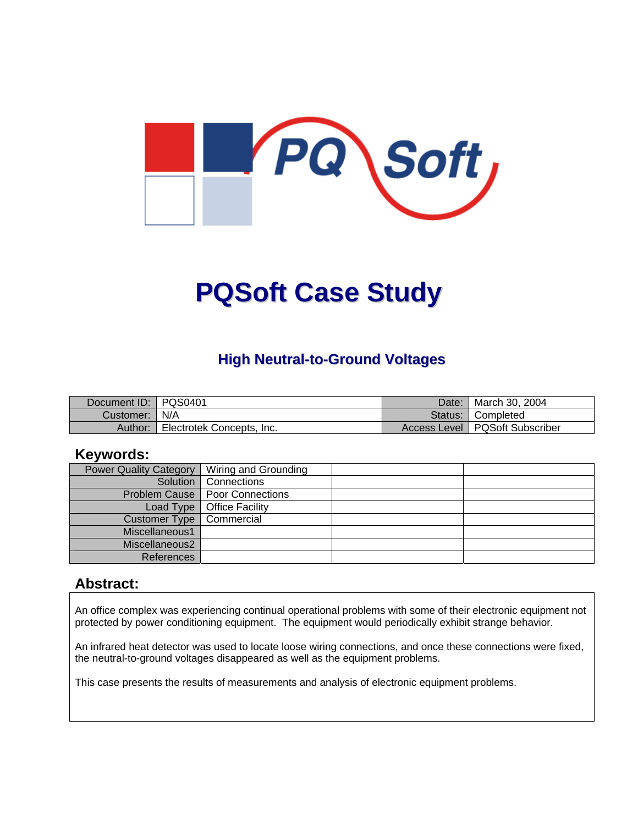

# **PQSoft Case Study**

#### **High Neutral-to-Ground Voltages**

| Document ID:   PQS0401 |                           | Date: | March 30, 2004                   |
|------------------------|---------------------------|-------|----------------------------------|
| Customer:   N/A        |                           |       | Status: Completed                |
| Author:                | Electrotek Concepts, Inc. |       | Access Level   PQSoft Subscriber |

#### **Keywords:**

| <b>Power Quality Category</b> | Wiring and Grounding             |  |
|-------------------------------|----------------------------------|--|
|                               | Solution   Connections           |  |
|                               | Problem Cause   Poor Connections |  |
| Load Type                     | Office Facility                  |  |
| Customer Type                 | Commercial                       |  |
| Miscellaneous1                |                                  |  |
| Miscellaneous2                |                                  |  |
| References                    |                                  |  |

#### **Abstract:**

An office complex was experiencing continual operational problems with some of their electronic equipment not protected by power conditioning equipment. The equipment would periodically exhibit strange behavior.

An infrared heat detector was used to locate loose wiring connections, and once these connections were fixed, the neutral-to-ground voltages disappeared as well as the equipment problems.

This case presents the results of measurements and analysis of electronic equipment problems.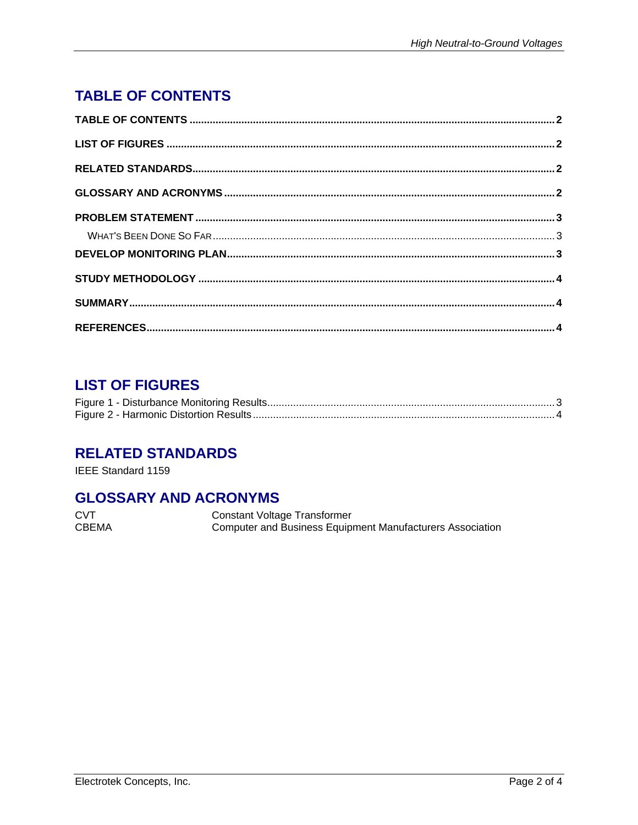# <span id="page-1-0"></span>**TABLE OF CONTENTS**

## **LIST OF FIGURES**

#### **RELATED STANDARDS**

IEEE Standard 1159

#### **GLOSSARY AND ACRONYMS**

**CVT Constant Voltage Transformer** CBEMA Computer and Business Equipment Manufacturers Association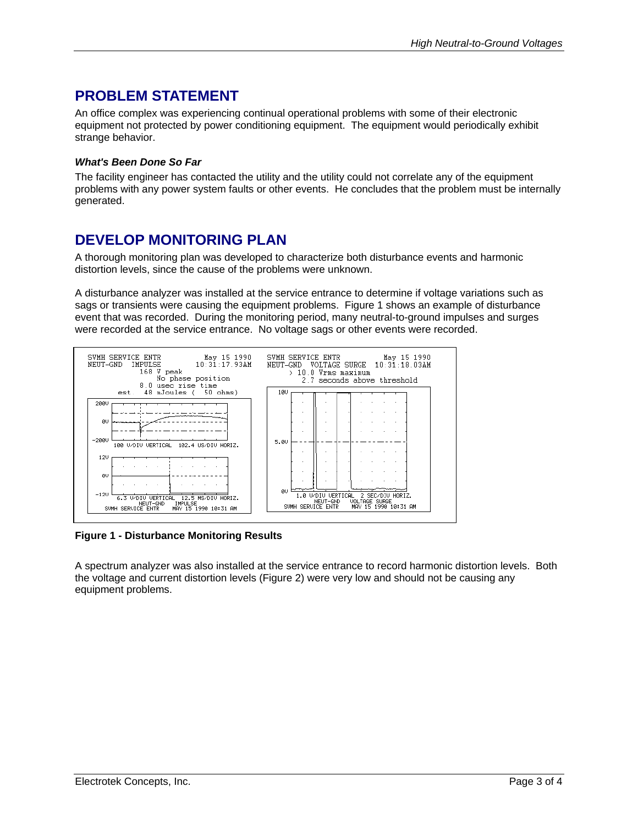#### <span id="page-2-0"></span>**PROBLEM STATEMENT**

An office complex was experiencing continual operational problems with some of their electronic equipment not protected by power conditioning equipment. The equipment would periodically exhibit strange behavior.

#### *What's Been Done So Far*

The facility engineer has contacted the utility and the utility could not correlate any of the equipment problems with any power system faults or other events. He concludes that the problem must be internally generated.

#### **DEVELOP MONITORING PLAN**

A thorough monitoring plan was developed to characterize both disturbance events and harmonic distortion levels, since the cause of the problems were unknown.

A disturbance analyzer was installed at the service entrance to determine if voltage variations such as sags or transients were causing the equipment problems. [Figure 1](#page-2-1) shows an example of disturbance event that was recorded. During the monitoring period, many neutral-to-ground impulses and surges were recorded at the service entrance. No voltage sags or other events were recorded.

<span id="page-2-1"></span>

**Figure 1 - Disturbance Monitoring Results** 

A spectrum analyzer was also installed at the service entrance to record harmonic distortion levels. Both the voltage and current distortion levels [\(Figure 2\)](#page-3-1) were very low and should not be causing any equipment problems.